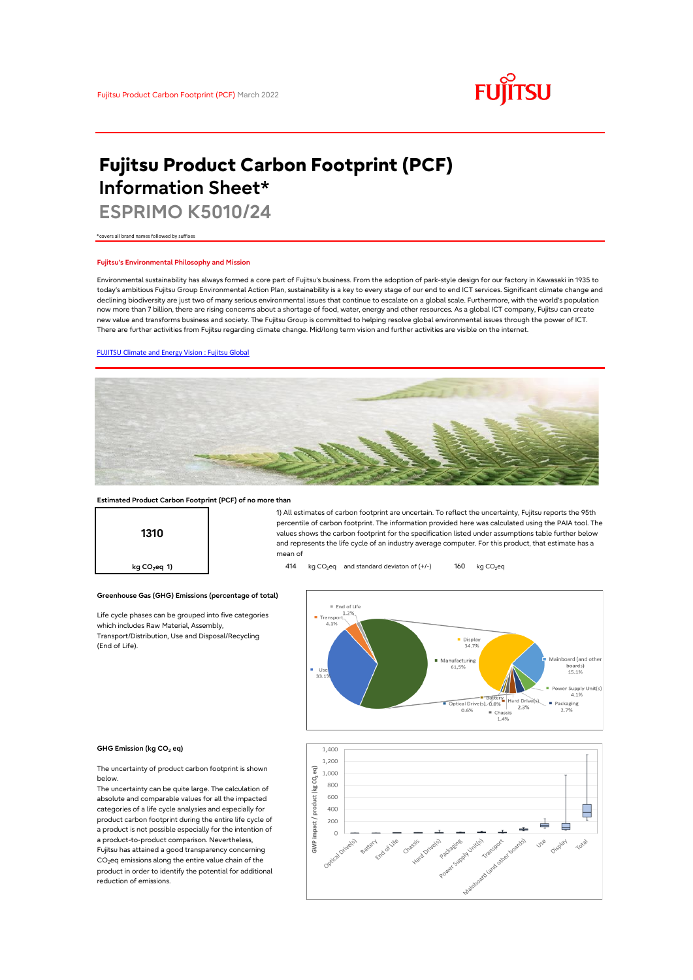

# **Fujitsu Product Carbon Footprint (PCF) Information Sheet\***

**ESPRIMO K5010/24**

\*covers all brand names followed by suffixes

### **Fujitsu's Environmental Philosophy and Mission**

Environmental sustainability has always formed a core part of Fujitsu's business. From the adoption of park-style design for our factory in Kawasaki in 1935 to today's ambitious Fujitsu Group Environmental Action Plan, sustainability is a key to every stage of our end to end ICT services. Significant climate change and declining biodiversity are just two of many serious environmental issues that continue to escalate on a global scale. Furthermore, with the world's population now more than 7 billion, there are rising concerns about a shortage of food, water, energy and other resources. As a global ICT company, Fujitsu can create new value and transforms business and society. The Fujitsu Group is committed to helping resolve global environmental issues through the power of ICT. There are further activities from Fujitsu regarding climate change. Mid/long term vision and further activities are visible on the internet.

### [FUJITSU Climate and Energy Vision : Fujitsu Global](https://www.fujitsu.com/global/about/environment/climate-energy-vision/)



### **Estimated Product Carbon Footprint (PCF) of no more than**

**Greenhouse Gas (GHG) Emissions (percentage of total)**

Life cycle phases can be grouped into five categories

which includes Raw Material, Assembly, Transport/Distribution, Use and Disposal/Recycling

**1310**

1) All estimates of carbon footprint are uncertain. To reflect the uncertainty, Fujitsu reports the 95th percentile of carbon footprint. The information provided here was calculated using the PAIA tool. The values shows the carbon footprint for the specification listed under assumptions table further below and represents the life cycle of an industry average computer. For this product, that estimate has a mean of

**kg CO<sub>2</sub>eq 1) 414** kg CO<sub>2</sub>eq and standard deviaton of (+/-) 160 kg CO<sub>2</sub>eq



#### **GHG Emission (kg CO2 eq)**

(End of Life).

The uncertainty of product carbon footprint is shown below.

The uncertainty can be quite large. The calculation of absolute and comparable values for all the impacted categories of a life cycle analysies and especially for product carbon footprint during the entire life cycle of a product is not possible especially for the intention of a product-to-product comparison. Nevertheless, Fujitsu has attained a good transparency concerning CO<sub>2</sub>eq emissions along the entire value chain of the product in order to identify the potential for additional reduction of emissions.